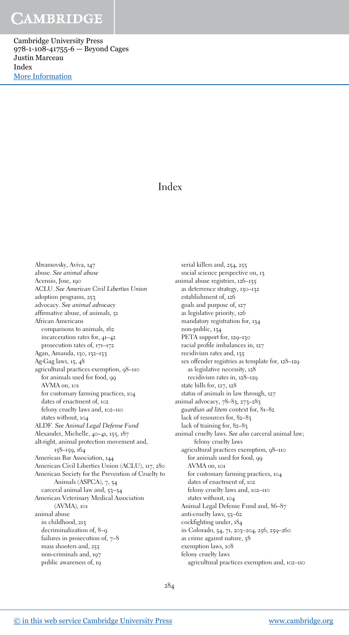Cambridge University Press 978-1-108-41755-6 — Beyond Cages Justin Marceau Index [More Information](www.cambridge.org/9781108417556)

### Index

Abramovsky, Aviva, 147 abuse. See animal abuse Acensio, Jose, 190 ACLU. See American Civil Liberties Union adoption programs, 253 advocacy. See animal advocacy affirmative abuse, of animals, 51 African Americans comparisons to animals, 162 incarceration rates for, 41–42 prosecution rates of, 171–172 Agan, Amanda, 130, 132–133 Ag-Gag laws, 15, 48 agricultural practices exemption, 98–110 for animals used for food, 99 AVMA on, 101 for customary farming practices, 104 dates of enactment of, 102 felony cruelty laws and, 102–110 states without, 104 ALDF. See Animal Legal Defense Fund Alexander, Michelle, 40–41, 155, 187 alt-right, animal protection movement and, 158–159, 164 American Bar Association, 144 American Civil Liberties Union (ACLU), 117, 280 American Society for the Prevention of Cruelty to Animals (ASPCA), 7, 54 carceral animal law and, 53–54 American Veterinary Medical Association (AVMA), 101 animal abuse in childhood, 213 decriminalization of, 8–9 failures in prosecution of, 7–8 mass shooters and, 255 non-criminals and, 197 public awareness of, 19

serial killers and, 254, 255 social science perspective on, 13 animal abuse registries, 126–135 as deterrence strategy, 130–132 establishment of, 126 goals and purpose of, 127 as legislative priority, 126 mandatory registration for, 134 non-public, 134 PETA support for, 129–130 racial profile imbalances in, 127 recidivism rates and, 135 sex offender registries as template for, 128–129 as legislative necessity, 128 recidivism rates in, 128–129 state bills for, 127, 128 status of animals in law through, 127 animal advocacy, 78–83, 273–283 guardian ad litem context for, 81–82 lack of resources for, 82–83 lack of training for, 82–83 animal cruelty laws. See also carceral animal law; felony cruelty laws agricultural practices exemption, 98–110 for animals used for food, 99 AVMA on, 101 for customary farming practices, 104 dates of enactment of, 102 felony cruelty laws and, 102–110 states without, 104 Animal Legal Defense Fund and, 86–87 anti-cruelty laws, 55–62 cockfighting under, 184 in Colorado, 54, 71, 203–204, 256, 259–260 as crime against nature, 58 exemption laws, 108 felony cruelty laws agricultural practices exemption and, 102–110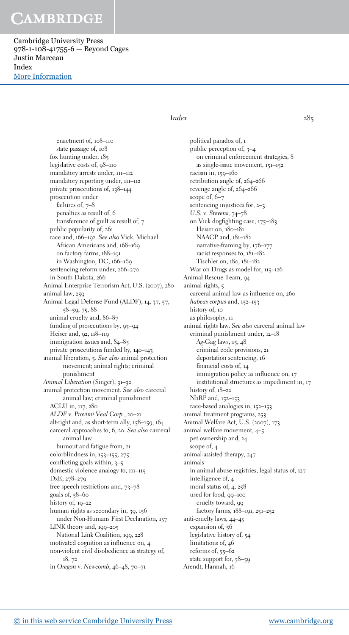Cambridge University Press 978-1-108-41755-6 — Beyond Cages Justin Marceau Index [More Information](www.cambridge.org/9781108417556)

### $Index$  285

enactment of, 108–110 state passage of, 108 fox hunting under, 185 legislative costs of, 98–110 mandatory arrests under, 111–112 mandatory reporting under, 111–112 private prosecutions of, 138–144 prosecution under failures of,  $7-8$ penalties as result of, 6 transference of guilt as result of, 7 public popularity of, 261 race and, 166–192. See also Vick, Michael African Americans and, 168–169 on factory farms, 188–191 in Washington, DC, 166–169 sentencing reform under, 266–270 in South Dakota, 266 Animal Enterprise Terrorism Act, U.S. (2007), 280 animal law, 259 Animal Legal Defense Fund (ALDF), 14, 37, 57, 58–59, 75, 88 animal cruelty and, 86–87 funding of prosecutions by, 93–94 Heiser and, 92, 118–119 immigration issues and,  $84-85$ private prosecutions funded by, 140–143 animal liberation, 5. See also animal protection movement; animal rights; criminal punishment Animal Liberation (Singer), 31–32 animal protection movement. See also carceral animal law; criminal punishment ACLU in, 117, 280 ALDF v. Provimi Veal Corp., 20–21 alt-right and, as short-term ally, 158–159, 164 carceral approaches to, 6, 20. See also carceral animal law burnout and fatigue from, 21 colorblindness in, 153–155, 275 conflicting goals within, 3–5 domestic violence analogy to, 111–115 DxE, 278–279 free speech restrictions and, 73–78 goals of,  $58-60$ history of, 19–22 human rights as secondary in, 39, 156 under Non-Humans First Declaration, 157 LINK theory and, 199–205 National Link Coalition, 199, 228 motivated cognition as influence on, 4 non-violent civil disobedience as strategy of, 18, 72 in Oregon v. Newcomb, 46–48, 70–71

political paradox of, 1 public perception of, 3–4 on criminal enforcement strategies, 8 as single-issue movement, 151–152 racism in, 159–160 retribution angle of, 264–266 revenge angle of, 264–266 scope of, 6–7 sentencing injustices for, 2–3 U.S. v. Stevens, 74–78 on Vick dogfighting case, 175–183 Heiser on, 180–181 NAACP and, 181–182 narrative-framing by, 176–177 racist responses to, 181–182 Tischler on, 180, 181–182 War on Drugs as model for, 115-126 Animal Rescue Team, 94 animal rights, 5 carceral animal law as influence on, 260 habeas corpus and, 152-153 history of, 10 as philosophy, 11 animal rights law. See also carceral animal law criminal punishment under, 12–18 Ag-Gag laws, 15, 48 criminal code provisions, 21 deportation sentencing, 16 financial costs of, 14 immigration policy as influence on, 17 institutional structures as impediment in, 17 history of,  $18-22$ NhRP and, 152–153 race-based analogies in, 152–153 animal treatment programs, 253 Animal Welfare Act, U.S. (2007), 173 animal welfare movement, 4–5 pet ownership and, 24 scope of, 4 animal-assisted therapy, 247 animals in animal abuse registries, legal status of, 127 intelligence of, 4 moral status of, 4, 258 used for food, 99–100 cruelty toward, 99 factory farms, 188–191, 251–252 anti-cruelty laws, 44–45 expansion of, 56 legislative history of, 54 limitations of, 46 reforms of, 55–62 state support for, 58–59 Arendt, Hannah, 16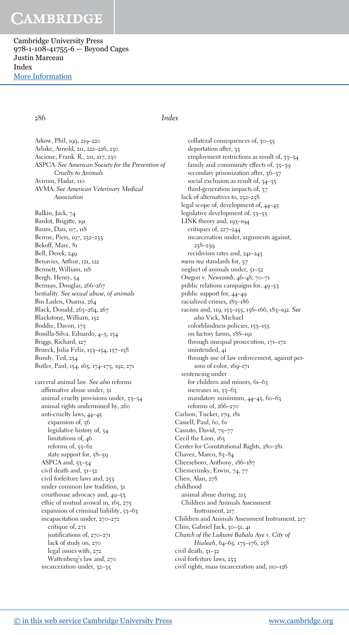Cambridge University Press 978-1-108-41755-6 — Beyond Cages Justin Marceau Index [More Information](www.cambridge.org/9781108417556)

### 286 Index

Arkow, Phil, 199, 219–220 Arluke, Arnold, 211, 222–226, 230 Ascione, Frank. R., 211, 217, 230 ASPCA. See American Society for the Prevention of Cruelty to Animals Avirum, Hadar, 110 AVMA. See American Veterinary Medical Association Balkin, Jack, 74 Bardot, Brigitte, 191 Baum, Dan, 117, 118 Beirne, Piers, 197, 232–233 Bekoff, Marc, 81 Bell, Derek, 249 Benavies, Arthur, 121, 122 Bennett, William, 118 Bergh, Henry, 54 Berman, Douglas, 266–267 bestiality. See sexual abuse, of animals Bin Laden, Osama, 264 Black, Donald, 263–264, 267 Blackstone, William, 152 Boddie, Davon, 175 Bonilla-Silva, Eduardo, 4–5, 154 Briggs, Richard, 127 Brueck, Julia Feliz, 153–154, 157–158 Bundy, Ted, 254 Butler, Paul, 154, 165, 174–175, 192, 271

carceral animal law. See also reforms affirmative abuse under, 51 animal cruelty provisions under, 53–54 animal rights undermined by, 260 anti-cruelty laws, 44–45 expansion of, 56 legislative history of, 54 limitations of, 46 reforms of, 55–62 state support for, 58–59 ASPCA and, 53–54 civil death and, 31–32 civil forfeiture laws and, 253 under common law tradition, 31 courthouse advocacy and, 49–53 ethic of mutual avowal in, 165, 275 expansion of criminal liability, 53–63 incapacitation under, 270–272 critique of, 271 justifications of, 270–271 lack of study on, 270 legal issues with, 272 Wattenberg's law and, 270 incarceration under, 32–35

collateral consequences of, 30–35 deportation after, 35 employment restrictions as result of, 33-34 family and community effects of, 35–39 secondary prisonization after, 36-37 social exclusion as result of, 34–35 third-generation impacts of, 37 lack of alternatives to, 252–258 legal scope of, development of, 44–45 legislative development of, 53–55 LINK theory and, 193–194 critiques of, 227–244 incarceration under, arguments against, 238–239 recidivism rates and, 241–243 mens rea standards for, 57 neglect of animals under, 51–52 Oregon v. Newcomb, 46–48, 70–71 public relations campaigns for, 49–53 public support for, 44–49 racialized crimes, 183–186 racism and, 119, 153–155, 156–166, 183–192. See also Vick, Michael colorblindness policies, 153–155 on factory farms, 188–191 through unequal prosecution, 171–172 unintended, 41 through use of law enforcement, against persons of color, 169-171 sentencing under for children and minors, 61–63 increases in, 53–63 mandatory minimum, 44–45, 60–63 reforms of, 266–270 Carlson, Tucker, 179, 181 Cassell, Paul, 60, 61 Cassuto, David, 75–77 Cecil the Lion, 163 Center for Constitutional Rights, 280–281 Chavez, Marco, 83-84 Cheeseboro, Anthony, 186–187 Chemerinsky, Erwin, 74, 77 Chen, Alan, 278 childhood animal abuse during, 213 Children and Animals Assessment Instrument, 217 Children and Animals Assessment Instrument, 217 Chin, Gabriel Jack, 30–31, 41 Church of the Lukumi Babalu Aye v. City of Hialeah, 64–65, 175–176, 258 civil death, 31–32 civil forfeiture laws, 253 civil rights, mass incarceration and, 110–126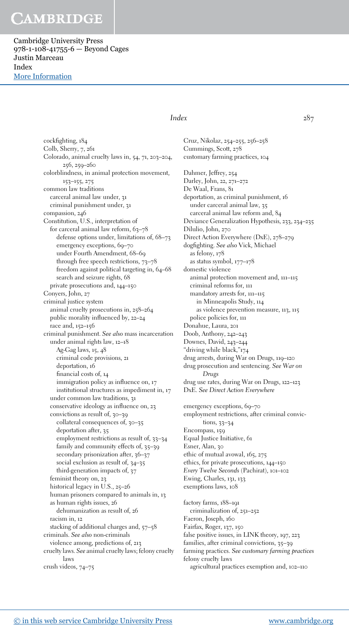Cambridge University Press 978-1-108-41755-6 — Beyond Cages Justin Marceau Index [More Information](www.cambridge.org/9781108417556)

### Index  $287$

cockfighting, 184 Colb, Sherry, 7, 261 Colorado, animal cruelty laws in, 54, 71, 203–204, 256, 259–260 colorblindness, in animal protection movement, 153–155, 275 common law traditions carceral animal law under, 31 criminal punishment under, 31 compassion, 246 Constitution, U.S., interpretation of for carceral animal law reform, 63-78 defense options under, limitations of, 68–73 emergency exceptions, 69-70 under Fourth Amendment, 68–69 through free speech restrictions, 73–78 freedom against political targeting in, 64–68 search and seizure rights, 68 private prosecutions and, 144–150 Conyers, John, 27 criminal justice system animal cruelty prosecutions in, 258–264 public morality influenced by, 22–24 race and, 152–156 criminal punishment. See also mass incarceration under animal rights law, 12–18 Ag-Gag laws, 15, 48 criminal code provisions, 21 deportation, 16 financial costs of, 14 immigration policy as influence on, 17 institutional structures as impediment in, 17 under common law traditions, 31 conservative ideology as influence on, 23 convictions as result of, 30–39 collateral consequences of, 30–35 deportation after, 35 employment restrictions as result of, 33–34 family and community effects of, 35–39 secondary prisonization after, 36-37 social exclusion as result of, 34–35 third-generation impacts of, 37 feminist theory on, 23 historical legacy in U.S., 25–26 human prisoners compared to animals in, 13 as human rights issues, 26 dehumanization as result of, 26 racism in, 12 stacking of additional charges and, 57–58 criminals. See also non-criminals violence among, predictions of, 213 cruelty laws. See animal cruelty laws; felony cruelty

Cruz, Nikolaz, 254–255, 256–258 Cummings, Scott, 278 customary farming practices, 104 Dahmer, Jeffrey, 254 Darley, John, 22, 271–272 De Waal, Frans, 81 deportation, as criminal punishment, 16 under carceral animal law, 35 carceral animal law reform and, 84 Deviance Generalization Hypothesis, 233, 234–235 Dilulio, John, 270 Direct Action Everywhere (DxE), 278–279 dogfighting. See also Vick, Michael as felony, 178 as status symbol, 177–178 domestic violence animal protection movement and, 111–115 criminal reforms for, 111 mandatory arrests for, 111–115 in Minneapolis Study, 114 as violence prevention measure, 113, 115 police policies for, 111 Donahue, Laura, 201 Doob, Anthony, 242–243 Downes, David, 243–244 "driving while black,"174 drug arrests, during War on Drugs, 119–120 drug prosecution and sentencing. See War on Drugs drug use rates, during War on Drugs, 122–123 DxE. See Direct Action Everywhere emergency exceptions, 69-70 employment restrictions, after criminal convictions, 33–34 Encompass, 159 Equal Justice Initiative, 61 Esner, Alan, 30 ethic of mutual avowal, 165, 275 ethics, for private prosecutions, 144–150 Every Twelve Seconds (Pachirat), 101–102 Ewing, Charles, 131, 133 exemptions laws, 108 factory farms, 188–191 criminalization of, 251–252 Faeron, Joseph, 160 Fairfax, Roger, 137, 150 false positive issues, in LINK theory, 197, 223 families, after criminal convictions, 35–39 farming practices. See customary farming practices

felony cruelty laws

agricultural practices exemption and, 102–110

laws crush videos, 74–75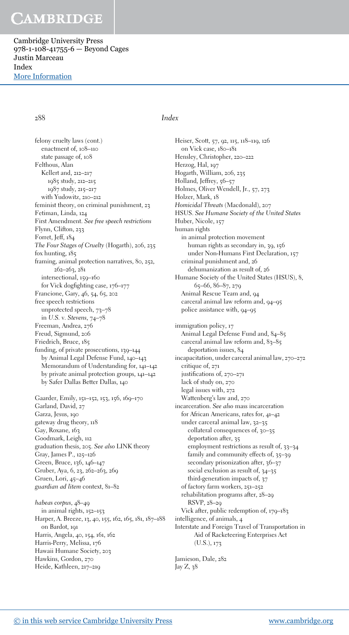Cambridge University Press 978-1-108-41755-6 — Beyond Cages Justin Marceau Index [More Information](www.cambridge.org/9781108417556)

288 Index

felony cruelty laws (cont.) enactment of, 108–110 state passage of, 108 Felthous, Alan Kellert and, 212–217 1985 study, 212–215 1987 study, 215–217 with Yudowitz, 210–212 feminist theory, on criminal punishment, 23 Fetiman, Linda, 124 First Amendment. See free speech restrictions Flynn, Clifton, 233 Forret, Jeff, 184 The Four Stages of Cruelty (Hogarth), 206, 235 fox hunting, 185 framing, animal protection narratives, 80, 252,  $262 - 263, 281$ intersectional, 159–160 for Vick dogfighting case, 176–177 Francione, Gary, 46, 54, 65, 202 free speech restrictions unprotected speech, 73–78 in U.S. v. Stevens, 74–78 Freeman, Andrea, 276 Freud, Sigmund, 206 Friedrich, Bruce, 185 funding, of private prosecutions, 139–144 by Animal Legal Defense Fund, 140–143 Memorandum of Understanding for, 141–142 by private animal protection groups, 141–142 by Safer Dallas Better Dallas, 140

Gaarder, Emily, 151–152, 153, 156, 169–170 Garland, David, 27 Garza, Jesus, 190 gateway drug theory, 118 Gay, Roxane, 163 Goodmark, Leigh, 112 graduation thesis, 205. See also LINK theory Gray, James P., 125–126 Green, Bruce, 136, 146–147 Gruber, Aya, 6, 23, 262–263, 269 Gruen, Lori, 45–46 guardian ad litem context, 81–82

habeas corpus, 48–49 in animal rights, 152–153 Harper, A. Breeze, 13, 40, 155, 162, 165, 181, 187–188 on Bardot, 191 Harris, Angela, 40, 154, 161, 162 Harris-Perry, Melissa, 176 Hawaii Humane Society, 203 Hawkins, Gordon, 270 Heide, Kathleen, 217–219

Heiser, Scott, 57, 92, 115, 118–119, 126 on Vick case, 180–181 Hensley, Christopher, 220–222 Herzog, Hal, 197 Hogarth, William, 206, 235 Holland, Jeffrey, 56-57 Holmes, Oliver Wendell, Jr., 57, 273 Holzer, Mark, 18 Homicidal Threats (Macdonald), 207 HSUS. See Humane Society of the United States Huber, Nicole, 157 human rights in animal protection movement human rights as secondary in, 39, 156 under Non-Humans First Declaration, 157 criminal punishment and, 26 dehumanization as result of, 26 Humane Society of the United States (HSUS), 8, 65–66, 86–87, 279 Animal Rescue Team and, 94 carceral animal law reform and, 94–95 police assistance with, 94–95

immigration policy, 17 Animal Legal Defense Fund and, 84–85 carceral animal law reform and, 83-85 deportation issues, 84 incapacitation, under carceral animal law, 270–272 critique of, 271 justifications of, 270–271 lack of study on, 270 legal issues with, 272 Wattenberg's law and, 270 incarceration. See also mass incarceration for African Americans, rates for, 41–42 under carceral animal law, 32–35 collateral consequences of, 30–35 deportation after, 35 employment restrictions as result of, 33–34 family and community effects of, 35–39 secondary prisonization after, 36-37 social exclusion as result of, 34–35 third-generation impacts of, 37 of factory farm workers, 251–252 rehabilitation programs after, 28–29 RSVP, 28–29 Vick after, public redemption of, 179–183 intelligence, of animals, 4 Interstate and Foreign Travel of Transportation in Aid of Racketeering Enterprises Act (U.S.), 173

Jamieson, Dale, 282 Jay Z, 38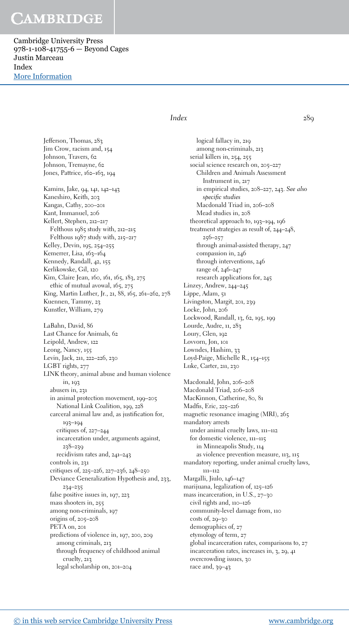Cambridge University Press 978-1-108-41755-6 — Beyond Cages Justin Marceau Index [More Information](www.cambridge.org/9781108417556)

### Index 289

Jefferson, Thomas, 283 Jim Crow, racism and, 154 Johnson, Travers, 62 Johnson, Tremayne, 62 Jones, Pattrice, 162–163, 194 Kamins, Jake, 94, 141, 142–143 Kaneshiro, Keith, 203 Kangas, Cathy, 200–201 Kant, Immanuel, 206 Kellert, Stephen, 212–217 Felthous 1985 study with, 212–215 Felthous 1987 study with, 215–217 Kelley, Devin, 195, 254–255 Kemerrer, Lisa, 163-164 Kennedy, Randall, 42, 155 Kerlikowske, Gil, 120 Kim, Claire Jean, 160, 161, 165, 183, 275 ethic of mutual avowal, 165, 275 King, Martin Luther, Jr., 21, 88, 165, 261–262, 278 Kuennen, Tammy, 23 Kunstler, William, 279 LaBahn, David, 86 Last Chance for Animals, 62 Leipold, Andrew, 122 Leong, Nancy, 155 Levin, Jack, 211, 222–226, 230 LGBT rights, 277 LINK theory, animal abuse and human violence in, 193 abusers in, 231 in animal protection movement, 199–205 National Link Coalition, 199, 228 carceral animal law and, as justification for, 193–194 critiques of, 227–244 incarceration under, arguments against, 238–239 recidivism rates and, 241–243 controls in, 231 critiques of, 225–226, 227–236, 248–250 Deviance Generalization Hypothesis and, 233, 234–235 false positive issues in, 197, 223 mass shooters in, 255 among non-criminals, 197 origins of, 205–208 PETA on, 201 predictions of violence in, 197, 200, 209 among criminals, 213 through frequency of childhood animal cruelty, 213 legal scholarship on, 201–204

logical fallacy in, 219 among non-criminals, 213 serial killers in, 254, 255 social science research on, 205–227 Children and Animals Assessment Instrument in, 217 in empirical studies, 208–227, 243. See also specific studies Macdonald Triad in, 206–208 Mead studies in, 208 theoretical approach to, 193–194, 196 treatment strategies as result of, 244–248, 256–257 through animal-assisted therapy, 247 compassion in, 246 through interventions, 246 range of, 246–247 research applications for, 245 Linzey, Andrew, 244–245 Lippe, Adam, 51 Livingston, Margit, 201, 239 Locke, John, 206 Lockwood, Randall, 13, 62, 195, 199 Lourde, Audre, 11, 283 Loury, Glen, 192 Lovvorn, Jon, 101 Lowndes, Hashim, 33 Loyd-Paige, Michelle R., 154–155 Luke, Carter, 211, 230 Macdonald, John, 206–208 Macdonald Triad, 206–208 MacKinnon, Catherine, 80, 81

Madfis, Eric, 225–226 magnetic resonance imaging (MRI), 265 mandatory arrests under animal cruelty laws, 111–112 for domestic violence, 111–115 in Minneapolis Study, 114 as violence prevention measure, 113, 115 mandatory reporting, under animal cruelty laws, 111–112 Margalli, Jiulo, 146–147 marijuana, legalization of, 125–126 mass incarceration, in U.S., 27–30 civil rights and, 110–126 community-level damage from, 110 costs of, 29–30 demographics of, 27 etymology of term, 27 global incarceration rates, comparisons to, 27 incarceration rates, increases in, 3, 29, 41 overcrowding issues, 30 race and, 39–43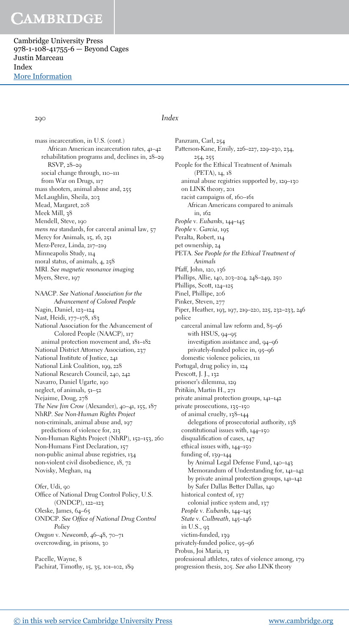Cambridge University Press 978-1-108-41755-6 — Beyond Cages Justin Marceau Index [More Information](www.cambridge.org/9781108417556)

### 290 Index

mass incarceration, in U.S. (cont.) African American incarceration rates, 41–42 rehabilitation programs and, declines in, 28–29 RSVP, 28–29 social change through, 110–111 from War on Drugs, 117 mass shooters, animal abuse and, 255 McLaughlin, Sheila, 203 Mead, Margaret, 208 Meek Mill, 38 Mendell, Steve, 190 mens rea standards, for carceral animal law, 57 Mercy for Animals, 15, 16, 251 Merz-Perez, Linda, 217–219 Minneapolis Study, 114 moral status, of animals, 4, 258 MRI. See magnetic resonance imaging Myers, Steve, 197 NAACP. See National Association for the Advancement of Colored People Nagin, Daniel, 123–124 Nast, Heidi, 177–178, 183 National Association for the Advancement of Colored People (NAACP), 117 animal protection movement and, 181–182 National District Attorney Association, 237 National Institute of Justice, 241 National Link Coalition, 199, 228 National Research Council, 240, 242 Navarro, Daniel Ugarte, 190 neglect, of animals, 51–52 Nejaime, Doug, 278 The New Jim Crow (Alexander), 40–41, 155, 187 NhRP. See Non-Human Rights Project non-criminals, animal abuse and, 197 predictions of violence for, 213 Non-Human Rights Project (NhRP), 152–153, 260 Non-Humans First Declaration, 157 non-public animal abuse registries, 134 non-violent civil disobedience, 18, 72 Novisky, Meghan, 114

Ofer, Udi, 90 Office of National Drug Control Policy, U.S. (ONDCP), 122–123 Oleske, James, 64–65 ONDCP. See Office of National Drug Control Policy Oregon v. Newcomb, 46–48, 70–71 overcrowding, in prisons, 30

Pacelle, Wayne, 8 Pachirat, Timothy, 15, 35, 101–102, 189 Panzram, Carl, 254 Patterson-Kane, Emily, 226–227, 229–230, 234, 254, 255 People for the Ethical Treatment of Animals (PETA), 14, 18 animal abuse registries supported by, 129–130 on LINK theory, 201 racist campaigns of, 160–161 African Americans compared to animals in, 162 People v. Eubanks, 144–145 People v. Garcia, 195 Peralta, Robert, 114 pet ownership, 24 PETA. See People for the Ethical Treatment of Animals Pfaff, John, 120, 136 Phillips, Allie, 140, 203–204, 248–249, 250 Phillips, Scott, 124–125 Pinel, Phillipe, 206 Pinker, Steven, 277 Piper, Heather, 193, 197, 219–220, 225, 232–233, 246 police carceral animal law reform and, 85–96 with HSUS, 94–95 investigation assistance and, 94–96 privately-funded police in, 95–96 domestic violence policies, 111 Portugal, drug policy in, 124 Prescott, J. J., 132 prisoner's dilemma, 129 Pritikin, Martin H., 271 private animal protection groups, 141–142 private prosecutions, 135–150 of animal cruelty, 138–144 delegations of prosecutorial authority, 138 constitutional issues with, 144–150 disqualification of cases, 147 ethical issues with, 144–150 funding of, 139–144 by Animal Legal Defense Fund, 140–143 Memorandum of Understanding for, 141–142 by private animal protection groups, 141–142 by Safer Dallas Better Dallas, 140 historical context of, 137 colonial justice system and, 137 People v. Eubanks, 144–145 State v. Culbreath, 145–146 in U.S., 93 victim-funded, 139 privately-funded police, 95–96 Probus, Joi Maria, 13

professional athletes, rates of violence among, 179 progression thesis, 205. See also LINK theory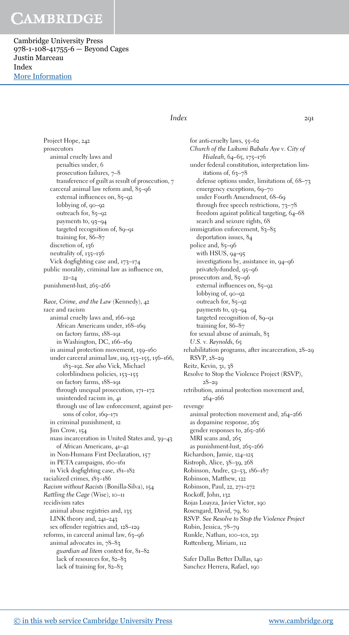Cambridge University Press 978-1-108-41755-6 — Beyond Cages Justin Marceau Index [More Information](www.cambridge.org/9781108417556)

### $Index$  291

Project Hope, 242 prosecutors animal cruelty laws and penalties under, 6 prosecution failures, 7–8 transference of guilt as result of prosecution, 7 carceral animal law reform and, 85–96 external influences on, 85–92 lobbying of, 90–92 outreach for, 85–92 payments to, 93–94 targeted recognition of, 89–91 training for, 86–87 discretion of, 126 neutrality of, 135–136 Vick dogfighting case and, 173–174 public morality, criminal law as influence on, 22–24 punishment-lust, 265–266 Race, Crime, and the Law (Kennedy), 42 race and racism animal cruelty laws and, 166–192 African Americans under, 168–169 on factory farms, 188–191 in Washington, DC, 166–169 in animal protection movement, 159–160 under carceral animal law, 119, 153–155, 156–166, 183–192. See also Vick, Michael colorblindness policies, 153–155 on factory farms, 188–191 through unequal prosecution, 171–172 unintended racism in, 41 through use of law enforcement, against persons of color, 169–171 in criminal punishment, 12 Jim Crow, 154 mass incarceration in United States and, 39–43 of African Americans, 41–42 in Non-Humans First Declaration, 157 in PETA campaigns, 160–161 in Vick dogfighting case, 181–182 racialized crimes, 183–186 Racism without Racists (Bonilla-Silva), 154 Rattling the Cage (Wise), 10–11 recidivism rates animal abuse registries and, 135 LINK theory and, 241–243 sex offender registries and, 128–129 reforms, in carceral animal law, 63–96 animal advocates in, 78–83 guardian ad litem context for, 81–82 lack of resources for, 82–83 lack of training for, 82–83

for anti-cruelty laws, 55–62 Church of the Lukumi Babalu Aye v. City of Hialeah, 64–65, 175–176 under federal constitution, interpretation limitations of, 63-78 defense options under, limitations of, 68–73 emergency exceptions, 69-70 under Fourth Amendment, 68–69 through free speech restrictions, 73–78 freedom against political targeting, 64–68 search and seizure rights, 68 immigration enforcement, 83-85 deportation issues, 84 police and, 85–96 with HSUS, 94–95 investigations by, assistance in, 94–96 privately-funded, 95–96 prosecutors and, 85–96 external influences on, 85–92 lobbying of, 90–92 outreach for, 85-92 payments to, 93–94 targeted recognition of, 89–91 training for, 86–87 for sexual abuse of animals, 83 U.S. v. Reynolds, 65 rehabilitation programs, after incarceration, 28–29 RSVP, 28–29 Reitz, Kevin, 31, 38 Resolve to Stop the Violence Project (RSVP),  $28 - 20$ retribution, animal protection movement and, 264–266 revenge animal protection movement and, 264–266 as dopamine response, 265 gender responses to, 265–266 MRI scans and, 265 as punishment-lust, 265–266 Richardson, Jamie, 124–125 Ristroph, Alice, 38–39, 268 Robinson, Andre, 52–53, 186–187 Robinson, Matthew, 122 Robinson, Paul, 22, 271–272 Rockoff, John, 132 Rojas Loayza, Javier Victor, 190 Rosengard, David, 79, 80 RSVP. See Resolve to Stop the Violence Project Rubin, Jessica, 78–79 Runkle, Nathan, 100–101, 251 Ruttenberg, Miriam, 112

Safer Dallas Better Dallas, 140 Sanchez Herrera, Rafael, 190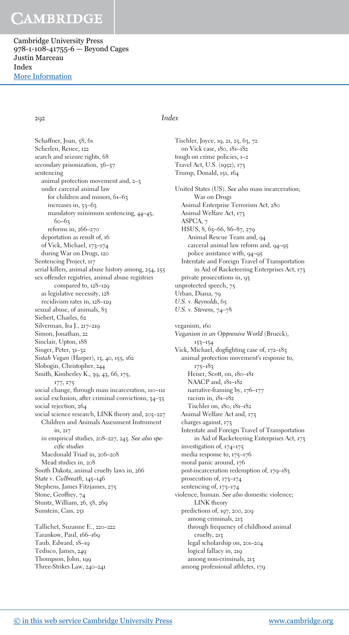Cambridge University Press 978-1-108-41755-6 — Beyond Cages Justin Marceau Index [More Information](www.cambridge.org/9781108417556)

292 Index

Schaffner, Joan, 58, 61 Scherlen, Renee, 122 search and seizure rights, 68 secondary prisonization, 36-37 sentencing animal protection movement and, 2–3 under carceral animal law for children and minors, 61–63 increases in, 53–63 mandatory minimum sentencing, 44–45,  $60 - 63$ reforms in, 266–270 deportation as result of, 16 of Vick, Michael, 173–174 during War on Drugs, 120 Sentencing Project, 117 serial killers, animal abuse history among, 254, 255 sex offender registries, animal abuse registries compared to, 128–129 as legislative necessity, 128 recidivism rates in, 128–129 sexual abuse, of animals, 83 Siebert, Charles, 62 Silverman, Ira J., 217–219 Simon, Jonathan, 22 Sinclair, Upton, 188 Singer, Peter, 31-32 Sistah Vegan (Harper), 13, 40, 155, 162 Slobogin, Christopher, 244 Smith, Kimberley K., 39, 43, 66, 175, 177, 275 social change, through mass incarceration, 110–111 social exclusion, after criminal convictions, 34–35 social rejection, 264 social science research, LINK theory and, 205–227 Children and Animals Assessment Instrument in, 217 in empirical studies, 208–227, 243. See also specific studies Macdonald Triad in, 206–208 Mead studies in, 208 South Dakota, animal cruelty laws in, 266 State v. Culbreath, 145–146 Stephens, James Fitzjames, 275 Stone, Geoffrey, 74 Stuntz, William, 26, 58, 269 Sunstein, Cass, 251 Tallichet, Suzanne E., 220–222 Tarankow, Paul, 166–169 Taub, Edward, 18–19 Tedisco, James, 249 Thompson, John, 199

Tischler, Joyce, 19, 21, 25, 63, 72 on Vick case, 180, 181–182 tough on crime policies, 1–2 Travel Act, U.S. (1952), 173 Trump, Donald, 151, 164 United States (US). See also mass incarceration; War on Drugs Animal Enterprise Terrorism Act, 280 Animal Welfare Act, 173 ASPCA, 7 HSUS, 8, 65–66, 86–87, 279 Animal Rescue Team and, 04 carceral animal law reform and, 94–95 police assistance with, 94–95 Interstate and Foreign Travel of Transportation in Aid of Racketeering Enterprises Act, 173 private prosecutions in, 93 unprotected speech, 75 Urban, Diana, 79 U.S. v. Reynolds, 65 U.S. v. Stevens, 74–78 veganism, 160 Veganism in an Oppressive World (Brueck), 153–154 Vick, Michael, dogfighting case of, 172–183 animal protection movement's response to, 175–183 Heiser, Scott, on, 180-181 NAACP and,  $181-182$ narrative-framing by, 176–177 racism in, 181–182 Tischler on, 180, 181–182 Animal Welfare Act and, 173 charges against, 173 Interstate and Foreign Travel of Transportation in Aid of Racketeering Enterprises Act, 173 investigation of, 174–175 media response to, 175–176 moral panic around, 176 post-incarceration redemption of, 179–183 prosecution of, 173–174 sentencing of, 173–174 violence, human. See also domestic violence; LINK theory predictions of, 197, 200, 209 among criminals, 213 through frequency of childhood animal cruelty, 213 legal scholarship on, 201–204 logical fallacy in, 219 among non-criminals, 213 among professional athletes, 179

Three-Strikes Law, 240–241